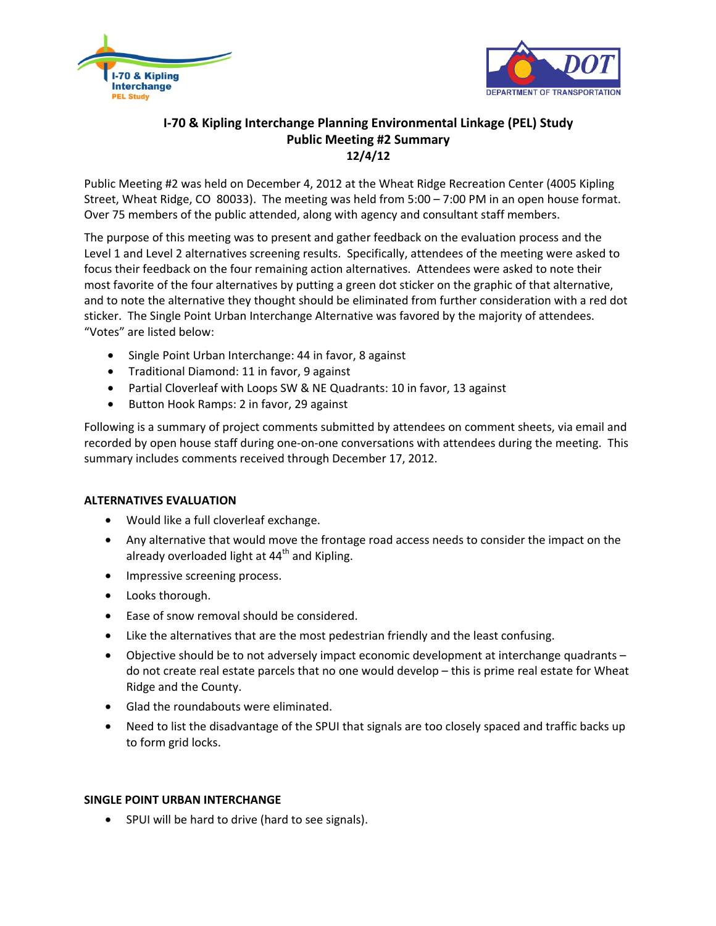



# **I-70 & Kipling Interchange Planning Environmental Linkage (PEL) Study Public Meeting #2 Summary 12/4/12**

Public Meeting #2 was held on December 4, 2012 at the Wheat Ridge Recreation Center (4005 Kipling Street, Wheat Ridge, CO 80033). The meeting was held from 5:00 – 7:00 PM in an open house format. Over 75 members of the public attended, along with agency and consultant staff members.

The purpose of this meeting was to present and gather feedback on the evaluation process and the Level 1 and Level 2 alternatives screening results. Specifically, attendees of the meeting were asked to focus their feedback on the four remaining action alternatives. Attendees were asked to note their most favorite of the four alternatives by putting a green dot sticker on the graphic of that alternative, and to note the alternative they thought should be eliminated from further consideration with a red dot sticker. The Single Point Urban Interchange Alternative was favored by the majority of attendees. "Votes" are listed below:

- Single Point Urban Interchange: 44 in favor, 8 against
- Traditional Diamond: 11 in favor, 9 against
- Partial Cloverleaf with Loops SW & NE Quadrants: 10 in favor, 13 against
- Button Hook Ramps: 2 in favor, 29 against

Following is a summary of project comments submitted by attendees on comment sheets, via email and recorded by open house staff during one-on-one conversations with attendees during the meeting. This summary includes comments received through December 17, 2012.

### **ALTERNATIVES EVALUATION**

- Would like a full cloverleaf exchange.
- Any alternative that would move the frontage road access needs to consider the impact on the already overloaded light at  $44<sup>th</sup>$  and Kipling.
- Impressive screening process.
- Looks thorough.
- Ease of snow removal should be considered.
- Like the alternatives that are the most pedestrian friendly and the least confusing.
- Objective should be to not adversely impact economic development at interchange quadrants do not create real estate parcels that no one would develop – this is prime real estate for Wheat Ridge and the County.
- Glad the roundabouts were eliminated.
- Need to list the disadvantage of the SPUI that signals are too closely spaced and traffic backs up to form grid locks.

### **SINGLE POINT URBAN INTERCHANGE**

• SPUI will be hard to drive (hard to see signals).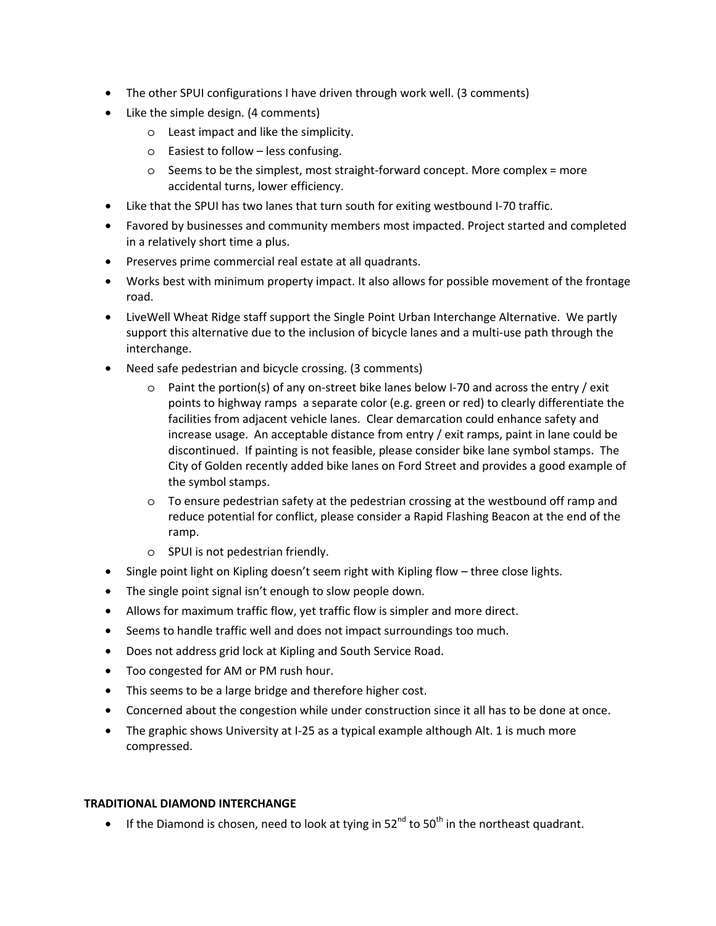- The other SPUI configurations I have driven through work well. (3 comments)
- Like the simple design. (4 comments)
	- o Least impact and like the simplicity.
	- o Easiest to follow less confusing.
	- o Seems to be the simplest, most straight-forward concept. More complex = more accidental turns, lower efficiency.
- Like that the SPUI has two lanes that turn south for exiting westbound I-70 traffic.
- Favored by businesses and community members most impacted. Project started and completed in a relatively short time a plus.
- Preserves prime commercial real estate at all quadrants.
- Works best with minimum property impact. It also allows for possible movement of the frontage road.
- LiveWell Wheat Ridge staff support the Single Point Urban Interchange Alternative. We partly support this alternative due to the inclusion of bicycle lanes and a multi-use path through the interchange.
- Need safe pedestrian and bicycle crossing. (3 comments)
	- o Paint the portion(s) of any on-street bike lanes below I-70 and across the entry / exit points to highway ramps a separate color (e.g. green or red) to clearly differentiate the facilities from adjacent vehicle lanes. Clear demarcation could enhance safety and increase usage. An acceptable distance from entry / exit ramps, paint in lane could be discontinued. If painting is not feasible, please consider bike lane symbol stamps. The City of Golden recently added bike lanes on Ford Street and provides a good example of the symbol stamps.
	- o To ensure pedestrian safety at the pedestrian crossing at the westbound off ramp and reduce potential for conflict, please consider a Rapid Flashing Beacon at the end of the ramp.
	- o SPUI is not pedestrian friendly.
- Single point light on Kipling doesn't seem right with Kipling flow three close lights.
- The single point signal isn't enough to slow people down.
- Allows for maximum traffic flow, yet traffic flow is simpler and more direct.
- Seems to handle traffic well and does not impact surroundings too much.
- Does not address grid lock at Kipling and South Service Road.
- Too congested for AM or PM rush hour.
- This seems to be a large bridge and therefore higher cost.
- Concerned about the congestion while under construction since it all has to be done at once.
- The graphic shows University at I-25 as a typical example although Alt. 1 is much more compressed.

### **TRADITIONAL DIAMOND INTERCHANGE**

• If the Diamond is chosen, need to look at tying in  $52^{nd}$  to  $50^{th}$  in the northeast quadrant.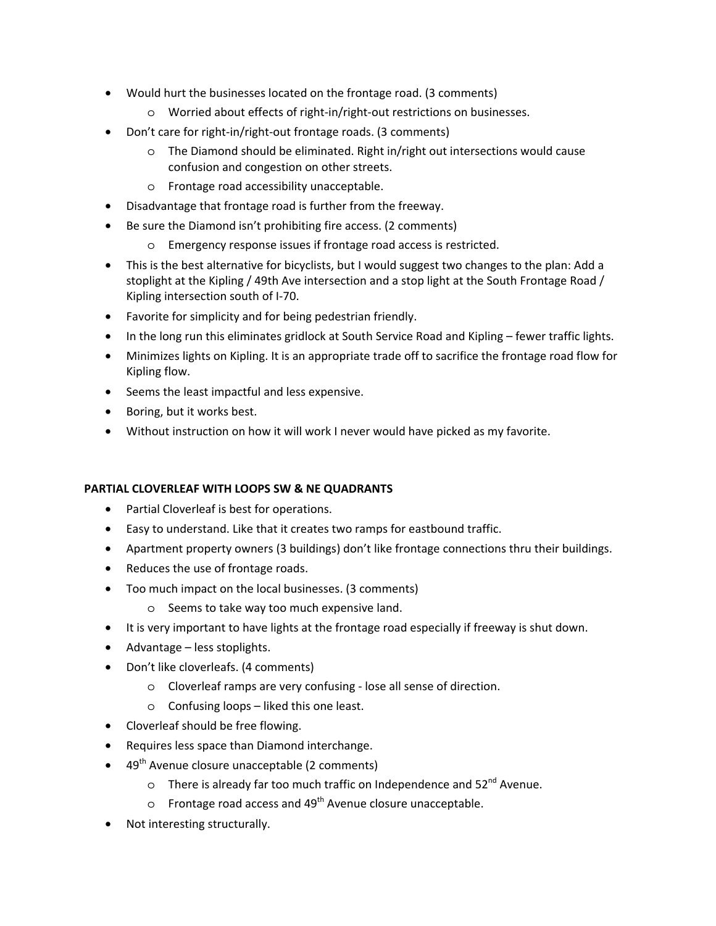- Would hurt the businesses located on the frontage road. (3 comments)
	- o Worried about effects of right-in/right-out restrictions on businesses.
- Don't care for right-in/right-out frontage roads. (3 comments)
	- o The Diamond should be eliminated. Right in/right out intersections would cause confusion and congestion on other streets.
	- o Frontage road accessibility unacceptable.
- Disadvantage that frontage road is further from the freeway.
- Be sure the Diamond isn't prohibiting fire access. (2 comments)
	- o Emergency response issues if frontage road access is restricted.
- This is the best alternative for bicyclists, but I would suggest two changes to the plan: Add a stoplight at the Kipling / 49th Ave intersection and a stop light at the South Frontage Road / Kipling intersection south of I-70.
- Favorite for simplicity and for being pedestrian friendly.
- In the long run this eliminates gridlock at South Service Road and Kipling fewer traffic lights.
- Minimizes lights on Kipling. It is an appropriate trade off to sacrifice the frontage road flow for Kipling flow.
- Seems the least impactful and less expensive.
- Boring, but it works best.
- Without instruction on how it will work I never would have picked as my favorite.

## **PARTIAL CLOVERLEAF WITH LOOPS SW & NE QUADRANTS**

- Partial Cloverleaf is best for operations.
- Easy to understand. Like that it creates two ramps for eastbound traffic.
- Apartment property owners (3 buildings) don't like frontage connections thru their buildings.
- Reduces the use of frontage roads.
- Too much impact on the local businesses. (3 comments)
	- o Seems to take way too much expensive land.
- It is very important to have lights at the frontage road especially if freeway is shut down.
- Advantage less stoplights.
- Don't like cloverleafs. (4 comments)
	- o Cloverleaf ramps are very confusing lose all sense of direction.
	- o Confusing loops liked this one least.
- Cloverleaf should be free flowing.
- Requires less space than Diamond interchange.
- $\bullet$  49<sup>th</sup> Avenue closure unacceptable (2 comments)
	- $\circ$  There is already far too much traffic on Independence and  $52^{nd}$  Avenue.
	- $\circ$  Frontage road access and 49<sup>th</sup> Avenue closure unacceptable.
- Not interesting structurally.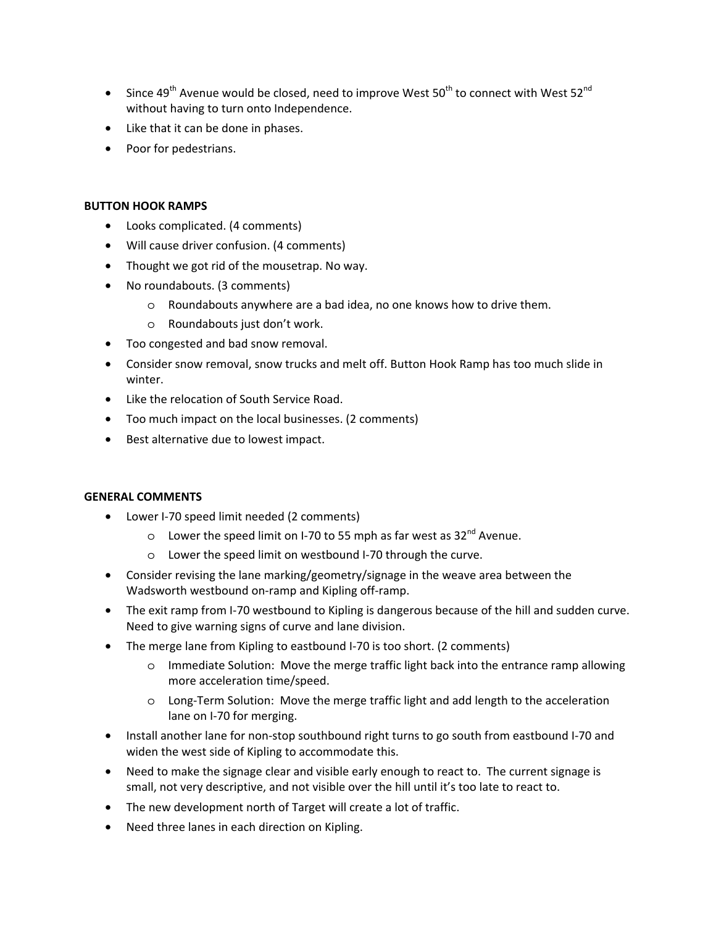- Since 49<sup>th</sup> Avenue would be closed, need to improve West 50<sup>th</sup> to connect with West 52<sup>nd</sup> without having to turn onto Independence.
- Like that it can be done in phases.
- Poor for pedestrians.

#### **BUTTON HOOK RAMPS**

- Looks complicated. (4 comments)
- Will cause driver confusion. (4 comments)
- Thought we got rid of the mousetrap. No way.
- No roundabouts. (3 comments)
	- o Roundabouts anywhere are a bad idea, no one knows how to drive them.
	- o Roundabouts just don't work.
- Too congested and bad snow removal.
- Consider snow removal, snow trucks and melt off. Button Hook Ramp has too much slide in winter.
- Like the relocation of South Service Road.
- Too much impact on the local businesses. (2 comments)
- Best alternative due to lowest impact.

### **GENERAL COMMENTS**

- Lower I-70 speed limit needed (2 comments)
	- $\circ$  Lower the speed limit on I-70 to 55 mph as far west as 32<sup>nd</sup> Avenue.
	- o Lower the speed limit on westbound I-70 through the curve.
- Consider revising the lane marking/geometry/signage in the weave area between the Wadsworth westbound on-ramp and Kipling off-ramp.
- The exit ramp from I-70 westbound to Kipling is dangerous because of the hill and sudden curve. Need to give warning signs of curve and lane division.
- The merge lane from Kipling to eastbound I-70 is too short. (2 comments)
	- o Immediate Solution: Move the merge traffic light back into the entrance ramp allowing more acceleration time/speed.
	- o Long-Term Solution: Move the merge traffic light and add length to the acceleration lane on I-70 for merging.
- Install another lane for non-stop southbound right turns to go south from eastbound I-70 and widen the west side of Kipling to accommodate this.
- Need to make the signage clear and visible early enough to react to. The current signage is small, not very descriptive, and not visible over the hill until it's too late to react to.
- The new development north of Target will create a lot of traffic.
- Need three lanes in each direction on Kipling.